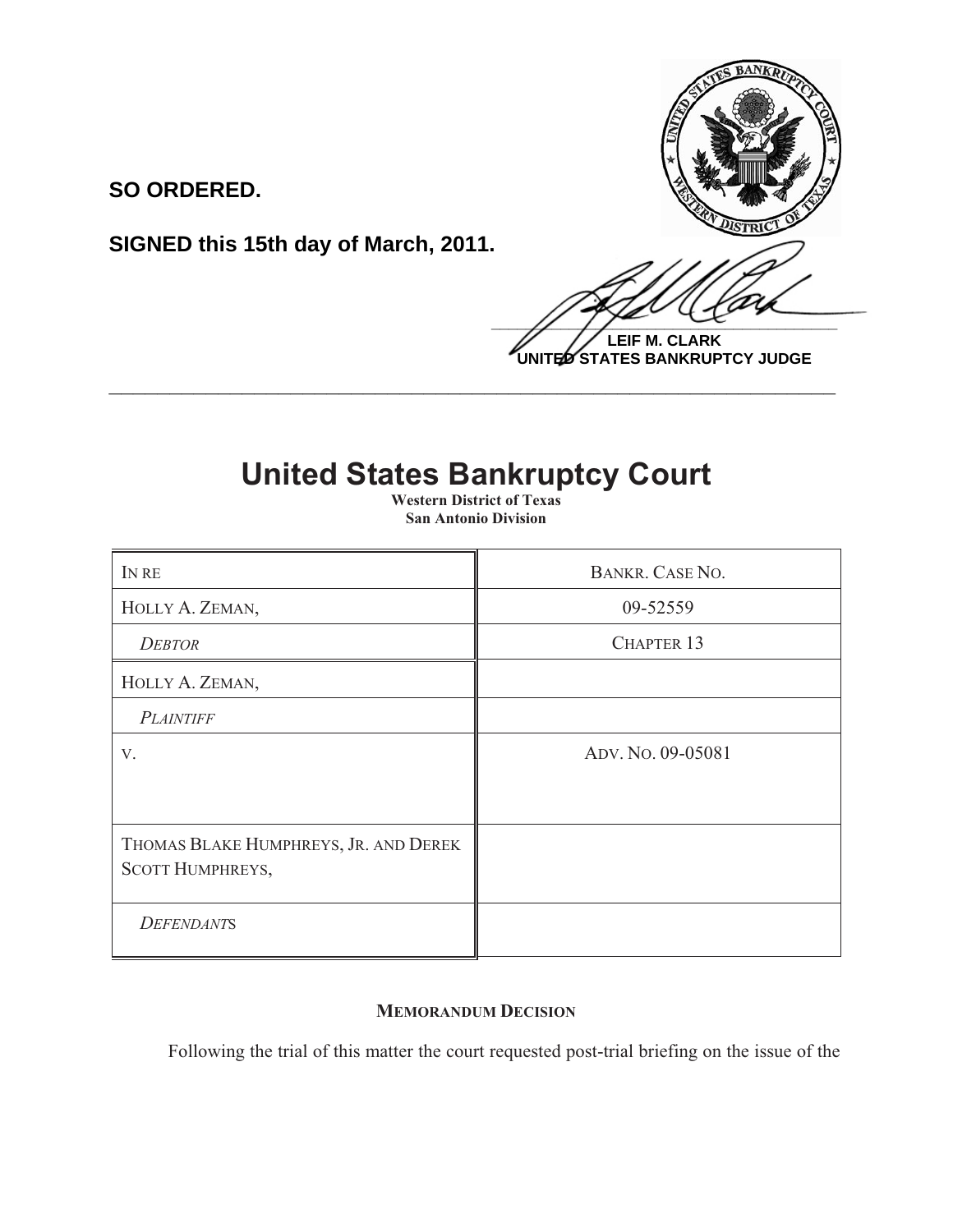

**LEIF M. CLARK UNITED STATES BANKRUPTCY JUDGE**

## **United States Bankruptcy Court**

**\_\_\_\_\_\_\_\_\_\_\_\_\_\_\_\_\_\_\_\_\_\_\_\_\_\_\_\_\_\_\_\_\_\_\_\_\_\_\_\_\_\_\_\_\_\_\_\_\_\_\_\_\_\_\_\_\_\_\_\_**

**SO ORDERED.**

**SIGNED this 15th day of March, 2011.**

 **Western District of Texas San Antonio Division**

| IN RE                                                            | BANKR. CASE NO.   |
|------------------------------------------------------------------|-------------------|
| HOLLY A. ZEMAN,                                                  | 09-52559          |
| <b>DEBTOR</b>                                                    | <b>CHAPTER 13</b> |
| HOLLY A. ZEMAN,                                                  |                   |
| <b>PLAINTIFF</b>                                                 |                   |
| V.                                                               | ADV. No. 09-05081 |
|                                                                  |                   |
| THOMAS BLAKE HUMPHREYS, JR. AND DEREK<br><b>SCOTT HUMPHREYS,</b> |                   |
| <b>DEFENDANTS</b>                                                |                   |

## **MEMORANDUM DECISION**

Following the trial of this matter the court requested post-trial briefing on the issue of the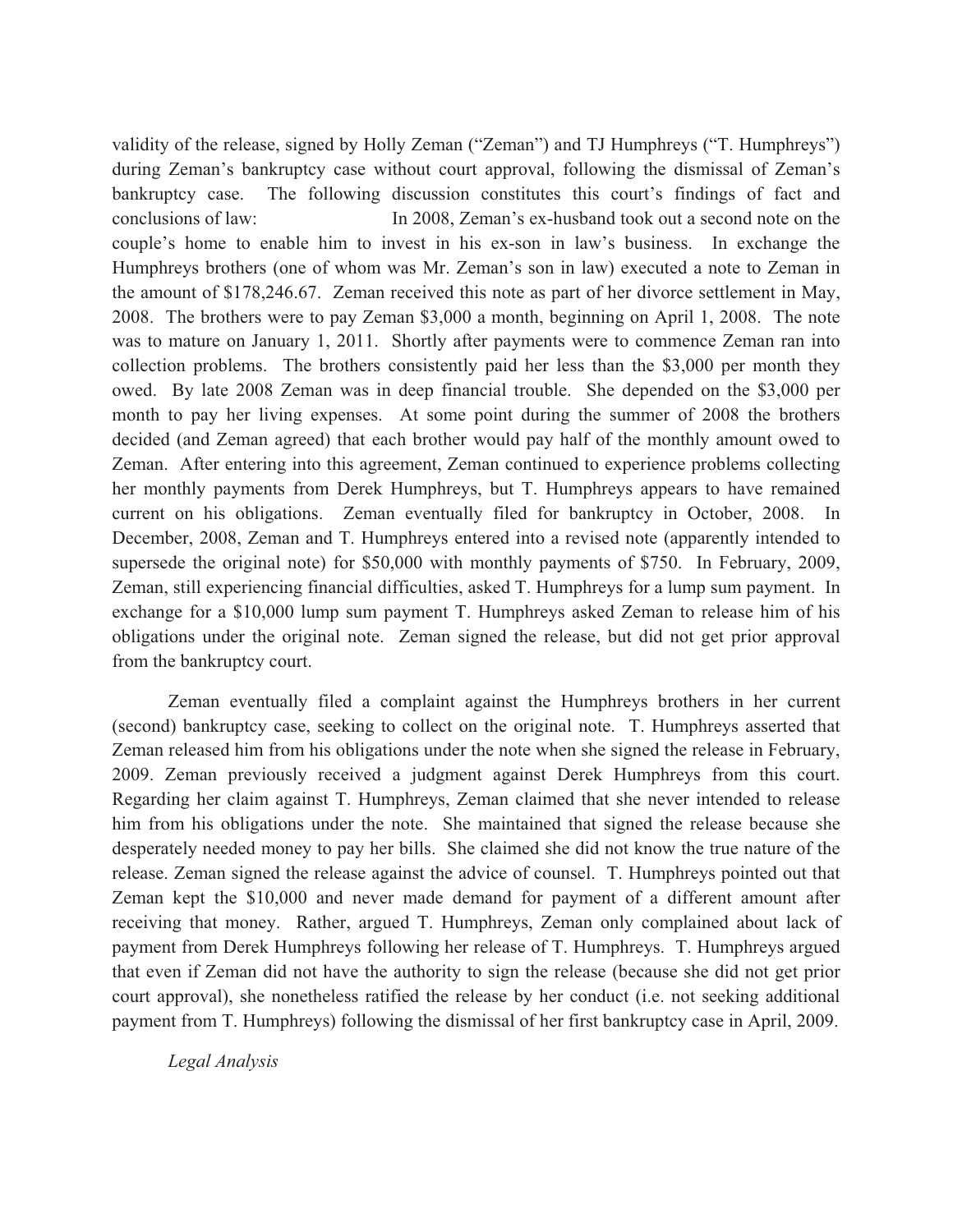validity of the release, signed by Holly Zeman ("Zeman") and TJ Humphreys ("T. Humphreys") during Zeman's bankruptcy case without court approval, following the dismissal of Zeman's bankruptcy case. The following discussion constitutes this court's findings of fact and conclusions of law: In 2008, Zeman's ex-husband took out a second note on the couple's home to enable him to invest in his ex-son in law's business. In exchange the Humphreys brothers (one of whom was Mr. Zeman's son in law) executed a note to Zeman in the amount of \$178,246.67. Zeman received this note as part of her divorce settlement in May, 2008. The brothers were to pay Zeman \$3,000 a month, beginning on April 1, 2008. The note was to mature on January 1, 2011. Shortly after payments were to commence Zeman ran into collection problems. The brothers consistently paid her less than the \$3,000 per month they owed. By late 2008 Zeman was in deep financial trouble. She depended on the \$3,000 per month to pay her living expenses. At some point during the summer of 2008 the brothers decided (and Zeman agreed) that each brother would pay half of the monthly amount owed to Zeman. After entering into this agreement, Zeman continued to experience problems collecting her monthly payments from Derek Humphreys, but T. Humphreys appears to have remained current on his obligations. Zeman eventually filed for bankruptcy in October, 2008. December, 2008, Zeman and T. Humphreys entered into a revised note (apparently intended to supersede the original note) for \$50,000 with monthly payments of \$750. In February, 2009, Zeman, still experiencing financial difficulties, asked T. Humphreys for a lump sum payment. In exchange for a \$10,000 lump sum payment T. Humphreys asked Zeman to release him of his obligations under the original note. Zeman signed the release, but did not get prior approval from the bankruptcy court.

Zeman eventually filed a complaint against the Humphreys brothers in her current (second) bankruptcy case, seeking to collect on the original note. T. Humphreys asserted that Zeman released him from his obligations under the note when she signed the release in February, 2009. Zeman previously received a judgment against Derek Humphreys from this court. Regarding her claim against T. Humphreys, Zeman claimed that she never intended to release him from his obligations under the note. She maintained that signed the release because she desperately needed money to pay her bills. She claimed she did not know the true nature of the release. Zeman signed the release against the advice of counsel. T. Humphreys pointed out that Zeman kept the \$10,000 and never made demand for payment of a different amount after receiving that money. Rather, argued T. Humphreys, Zeman only complained about lack of payment from Derek Humphreys following her release of T. Humphreys. T. Humphreys argued that even if Zeman did not have the authority to sign the release (because she did not get prior court approval), she nonetheless ratified the release by her conduct (i.e. not seeking additional payment from T. Humphreys) following the dismissal of her first bankruptcy case in April, 2009.

*Legal Analysis*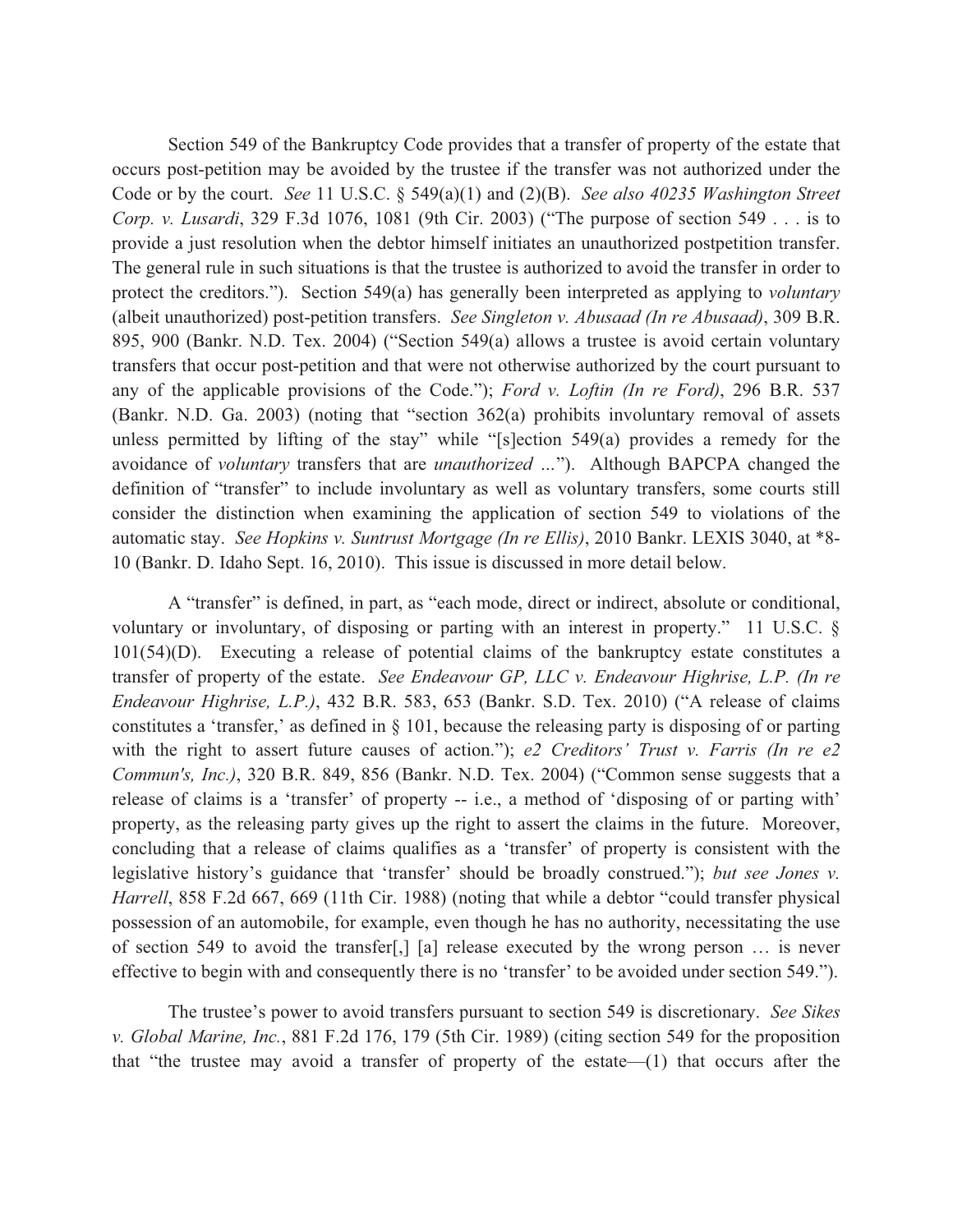Section 549 of the Bankruptcy Code provides that a transfer of property of the estate that occurs post-petition may be avoided by the trustee if the transfer was not authorized under the Code or by the court. *See* 11 U.S.C. § 549(a)(1) and (2)(B). *See also 40235 Washington Street Corp. v. Lusardi*, 329 F.3d 1076, 1081 (9th Cir. 2003) ("The purpose of section 549 . . . is to provide a just resolution when the debtor himself initiates an unauthorized postpetition transfer. The general rule in such situations is that the trustee is authorized to avoid the transfer in order to protect the creditors."). Section 549(a) has generally been interpreted as applying to *voluntary* (albeit unauthorized) post-petition transfers. *See Singleton v. Abusaad (In re Abusaad)*, 309 B.R. 895, 900 (Bankr. N.D. Tex. 2004) ("Section 549(a) allows a trustee is avoid certain voluntary transfers that occur post-petition and that were not otherwise authorized by the court pursuant to any of the applicable provisions of the Code."); *Ford v. Loftin (In re Ford)*, 296 B.R. 537 (Bankr. N.D. Ga. 2003) (noting that "section 362(a) prohibits involuntary removal of assets unless permitted by lifting of the stay" while "[s]ection 549(a) provides a remedy for the avoidance of *voluntary* transfers that are *unauthorized …*"). Although BAPCPA changed the definition of "transfer" to include involuntary as well as voluntary transfers, some courts still consider the distinction when examining the application of section 549 to violations of the automatic stay. *See Hopkins v. Suntrust Mortgage (In re Ellis)*, 2010 Bankr. LEXIS 3040, at \*8- 10 (Bankr. D. Idaho Sept. 16, 2010). This issue is discussed in more detail below.

A "transfer" is defined, in part, as "each mode, direct or indirect, absolute or conditional, voluntary or involuntary, of disposing or parting with an interest in property." 11 U.S.C. § 101(54)(D). Executing a release of potential claims of the bankruptcy estate constitutes a transfer of property of the estate. *See Endeavour GP, LLC v. Endeavour Highrise, L.P. (In re Endeavour Highrise, L.P.)*, 432 B.R. 583, 653 (Bankr. S.D. Tex. 2010) ("A release of claims constitutes a 'transfer,' as defined in § 101, because the releasing party is disposing of or parting with the right to assert future causes of action."); *e2 Creditors' Trust v. Farris (In re e2 Commun's, Inc.)*, 320 B.R. 849, 856 (Bankr. N.D. Tex. 2004) ("Common sense suggests that a release of claims is a 'transfer' of property -- i.e., a method of 'disposing of or parting with' property, as the releasing party gives up the right to assert the claims in the future. Moreover, concluding that a release of claims qualifies as a 'transfer' of property is consistent with the legislative history's guidance that 'transfer' should be broadly construed."); *but see Jones v. Harrell*, 858 F.2d 667, 669 (11th Cir. 1988) (noting that while a debtor "could transfer physical possession of an automobile, for example, even though he has no authority, necessitating the use of section 549 to avoid the transfer[,] [a] release executed by the wrong person … is never effective to begin with and consequently there is no 'transfer' to be avoided under section 549.").

The trustee's power to avoid transfers pursuant to section 549 is discretionary. *See Sikes v. Global Marine, Inc.*, 881 F.2d 176, 179 (5th Cir. 1989) (citing section 549 for the proposition that "the trustee may avoid a transfer of property of the estate—(1) that occurs after the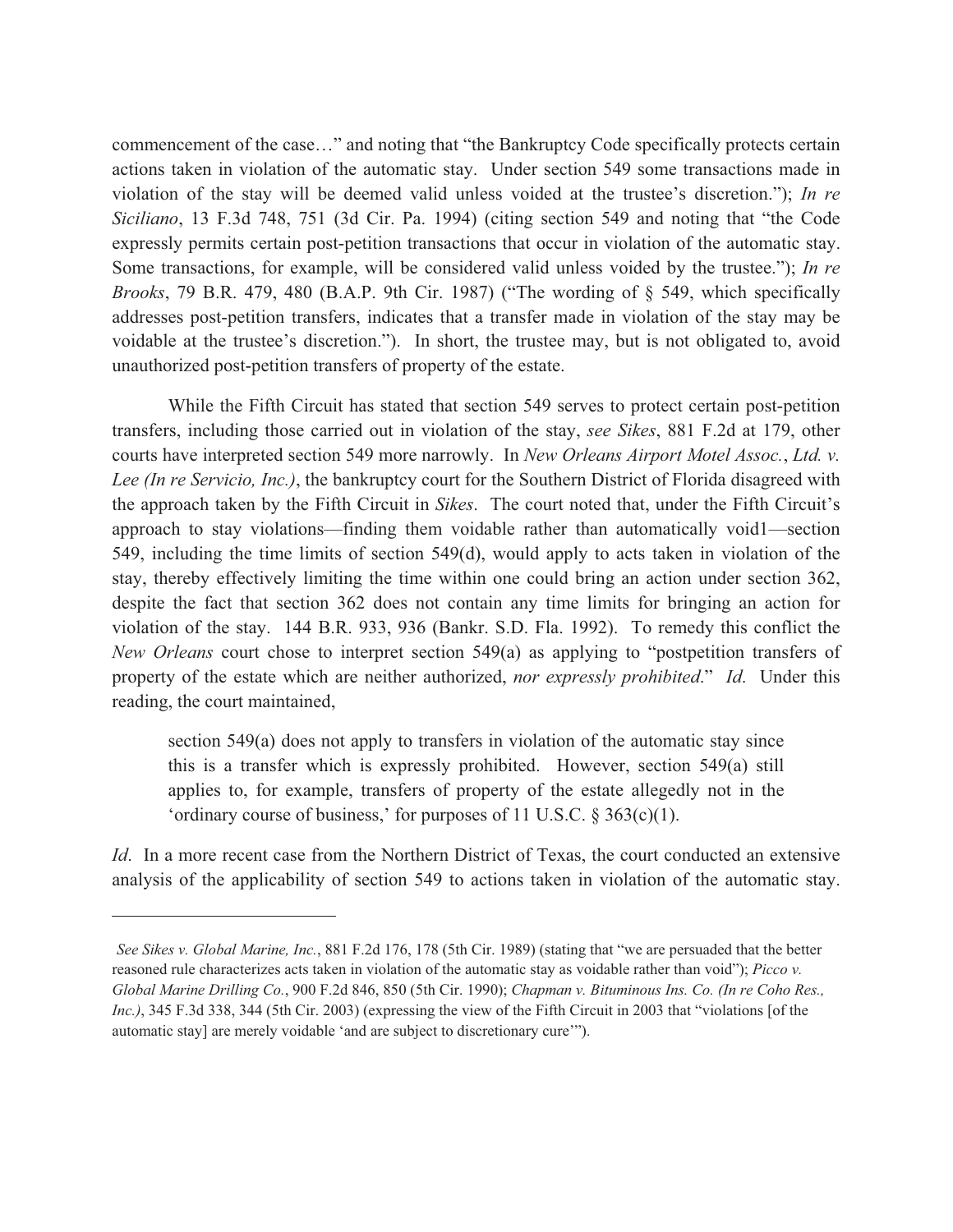commencement of the case…" and noting that "the Bankruptcy Code specifically protects certain actions taken in violation of the automatic stay. Under section 549 some transactions made in violation of the stay will be deemed valid unless voided at the trustee's discretion."); *In re Siciliano*, 13 F.3d 748, 751 (3d Cir. Pa. 1994) (citing section 549 and noting that "the Code expressly permits certain post-petition transactions that occur in violation of the automatic stay. Some transactions, for example, will be considered valid unless voided by the trustee."); *In re Brooks*, 79 B.R. 479, 480 (B.A.P. 9th Cir. 1987) ("The wording of § 549, which specifically addresses post-petition transfers, indicates that a transfer made in violation of the stay may be voidable at the trustee's discretion."). In short, the trustee may, but is not obligated to, avoid unauthorized post-petition transfers of property of the estate.

While the Fifth Circuit has stated that section 549 serves to protect certain post-petition transfers, including those carried out in violation of the stay, *see Sikes*, 881 F.2d at 179, other courts have interpreted section 549 more narrowly. In *New Orleans Airport Motel Assoc.*, *Ltd. v. Lee (In re Servicio, Inc.)*, the bankruptcy court for the Southern District of Florida disagreed with the approach taken by the Fifth Circuit in *Sikes*. The court noted that, under the Fifth Circuit's approach to stay violations—finding them voidable rather than automatically void1—section 549, including the time limits of section 549(d), would apply to acts taken in violation of the stay, thereby effectively limiting the time within one could bring an action under section 362, despite the fact that section 362 does not contain any time limits for bringing an action for violation of the stay. 144 B.R. 933, 936 (Bankr. S.D. Fla. 1992). To remedy this conflict the *New Orleans* court chose to interpret section 549(a) as applying to "postpetition transfers of property of the estate which are neither authorized, *nor expressly prohibited*." *Id*. Under this reading, the court maintained,

section 549(a) does not apply to transfers in violation of the automatic stay since this is a transfer which is expressly prohibited. However, section 549(a) still applies to, for example, transfers of property of the estate allegedly not in the 'ordinary course of business,' for purposes of 11 U.S.C. § 363(c)(1).

*Id.* In a more recent case from the Northern District of Texas, the court conducted an extensive analysis of the applicability of section 549 to actions taken in violation of the automatic stay.

*See Sikes v. Global Marine, Inc.*, 881 F.2d 176, 178 (5th Cir. 1989) (stating that "we are persuaded that the better reasoned rule characterizes acts taken in violation of the automatic stay as voidable rather than void"); *Picco v. Global Marine Drilling Co.*, 900 F.2d 846, 850 (5th Cir. 1990); *Chapman v. Bituminous Ins. Co. (In re Coho Res., Inc.)*, 345 F.3d 338, 344 (5th Cir. 2003) (expressing the view of the Fifth Circuit in 2003 that "violations [of the automatic stay] are merely voidable 'and are subject to discretionary cure'").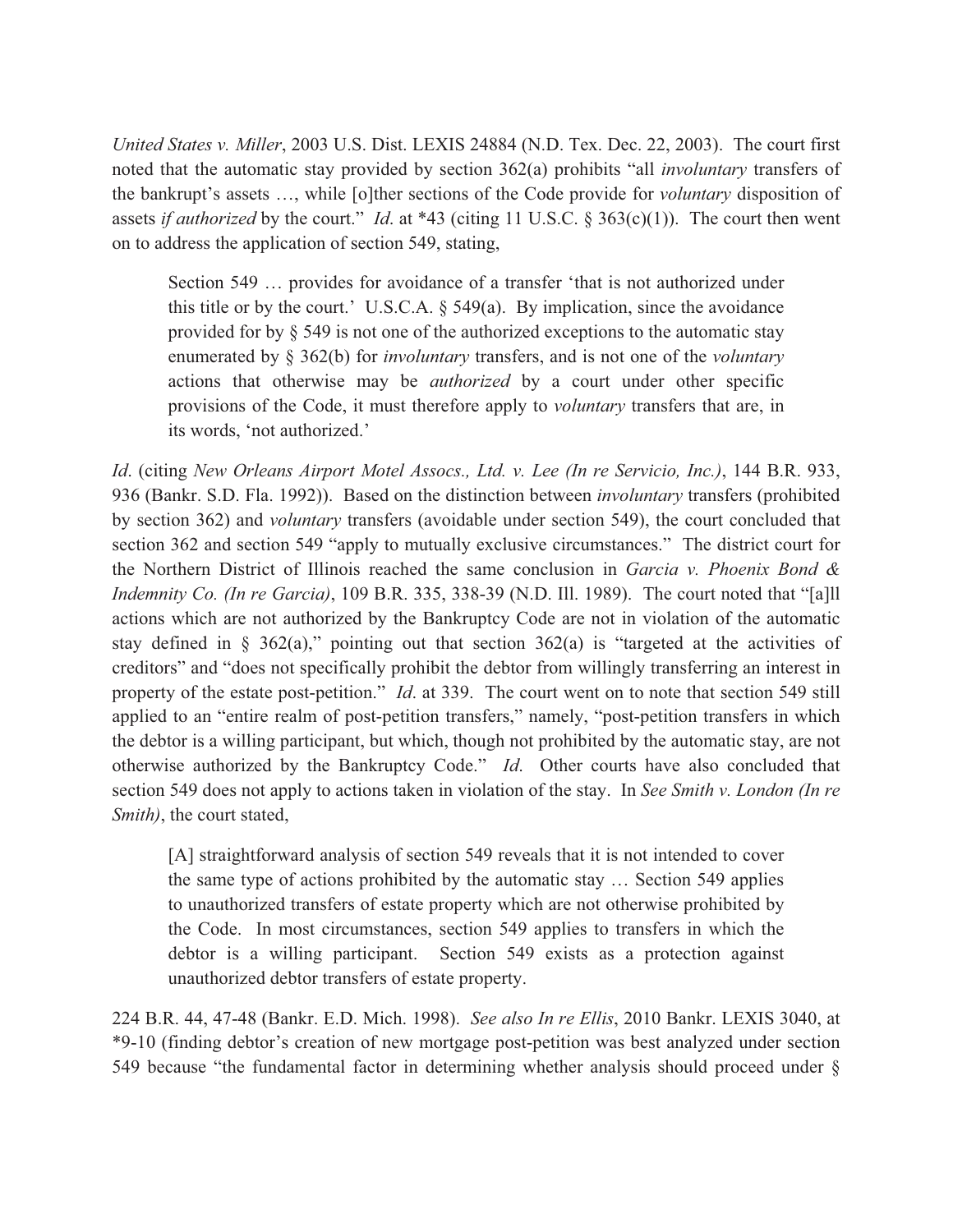*United States v. Miller*, 2003 U.S. Dist. LEXIS 24884 (N.D. Tex. Dec. 22, 2003). The court first noted that the automatic stay provided by section 362(a) prohibits "all *involuntary* transfers of the bankrupt's assets …, while [o]ther sections of the Code provide for *voluntary* disposition of assets *if authorized* by the court." *Id*. at \*43 (citing 11 U.S.C. § 363(c)(1)). The court then went on to address the application of section 549, stating,

Section 549 … provides for avoidance of a transfer 'that is not authorized under this title or by the court.' U.S.C.A.  $\S$  549(a). By implication, since the avoidance provided for by § 549 is not one of the authorized exceptions to the automatic stay enumerated by § 362(b) for *involuntary* transfers, and is not one of the *voluntary* actions that otherwise may be *authorized* by a court under other specific provisions of the Code, it must therefore apply to *voluntary* transfers that are, in its words, 'not authorized.'

*Id*. (citing *New Orleans Airport Motel Assocs., Ltd. v. Lee (In re Servicio, Inc.)*, 144 B.R. 933, 936 (Bankr. S.D. Fla. 1992)). Based on the distinction between *involuntary* transfers (prohibited by section 362) and *voluntary* transfers (avoidable under section 549), the court concluded that section 362 and section 549 "apply to mutually exclusive circumstances." The district court for the Northern District of Illinois reached the same conclusion in *Garcia v. Phoenix Bond & Indemnity Co. (In re Garcia)*, 109 B.R. 335, 338-39 (N.D. Ill. 1989). The court noted that "[a]ll actions which are not authorized by the Bankruptcy Code are not in violation of the automatic stay defined in § 362(a)," pointing out that section  $362(a)$  is "targeted at the activities of creditors" and "does not specifically prohibit the debtor from willingly transferring an interest in property of the estate post-petition." *Id*. at 339. The court went on to note that section 549 still applied to an "entire realm of post-petition transfers," namely, "post-petition transfers in which the debtor is a willing participant, but which, though not prohibited by the automatic stay, are not otherwise authorized by the Bankruptcy Code." *Id*. Other courts have also concluded that section 549 does not apply to actions taken in violation of the stay. In *See Smith v. London (In re Smith)*, the court stated,

[A] straightforward analysis of section 549 reveals that it is not intended to cover the same type of actions prohibited by the automatic stay … Section 549 applies to unauthorized transfers of estate property which are not otherwise prohibited by the Code. In most circumstances, section 549 applies to transfers in which the debtor is a willing participant. Section 549 exists as a protection against unauthorized debtor transfers of estate property.

224 B.R. 44, 47-48 (Bankr. E.D. Mich. 1998). *See also In re Ellis*, 2010 Bankr. LEXIS 3040, at \*9-10 (finding debtor's creation of new mortgage post-petition was best analyzed under section 549 because "the fundamental factor in determining whether analysis should proceed under §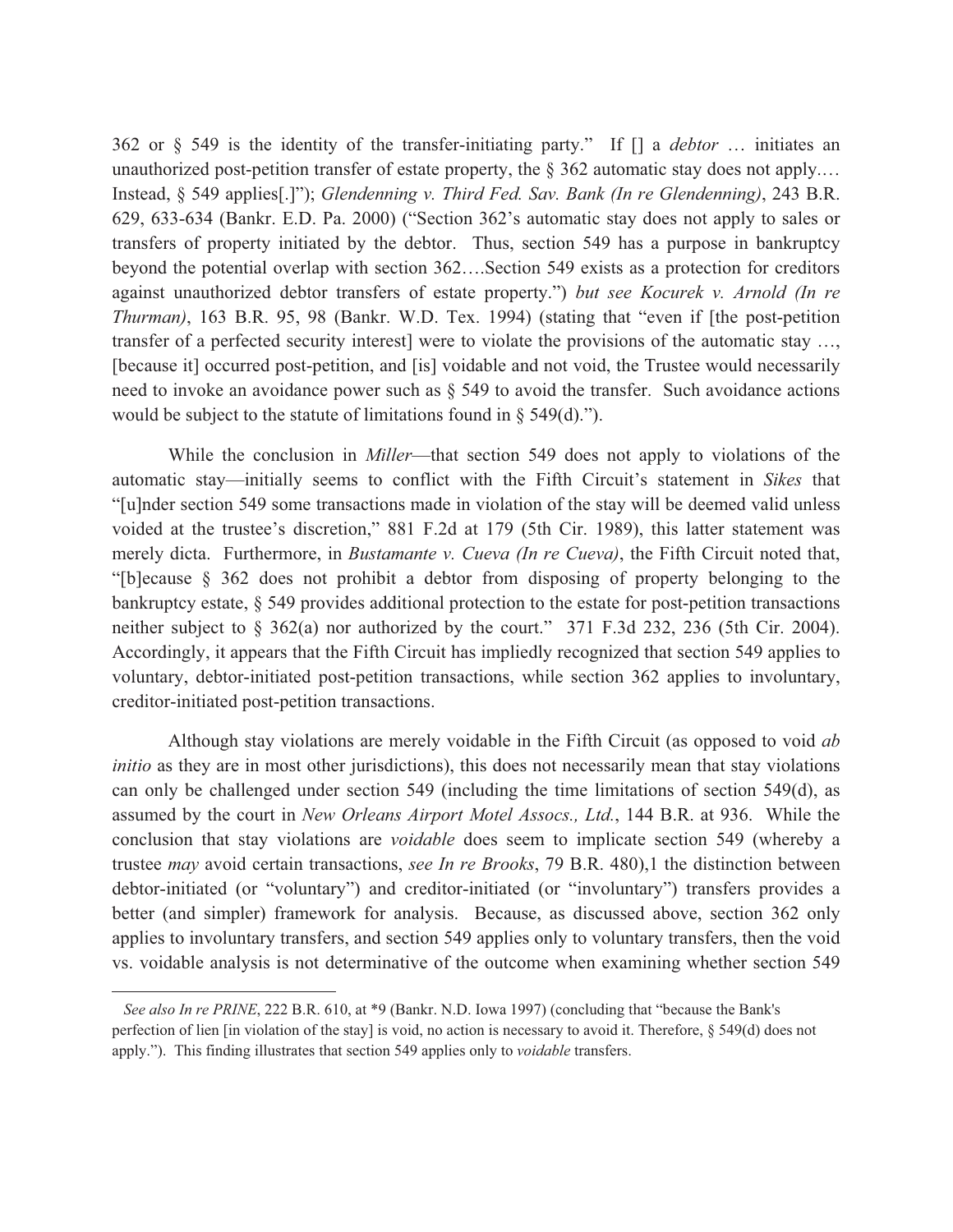362 or § 549 is the identity of the transfer-initiating party." If [] a *debtor* … initiates an unauthorized post-petition transfer of estate property, the  $\S 362$  automatic stay does not apply.... Instead, § 549 applies[.]"); *Glendenning v. Third Fed. Sav. Bank (In re Glendenning)*, 243 B.R. 629, 633-634 (Bankr. E.D. Pa. 2000) ("Section 362's automatic stay does not apply to sales or transfers of property initiated by the debtor. Thus, section 549 has a purpose in bankruptcy beyond the potential overlap with section 362….Section 549 exists as a protection for creditors against unauthorized debtor transfers of estate property.") *but see Kocurek v. Arnold (In re Thurman)*, 163 B.R. 95, 98 (Bankr. W.D. Tex. 1994) (stating that "even if [the post-petition transfer of a perfected security interest] were to violate the provisions of the automatic stay …, [because it] occurred post-petition, and [is] voidable and not void, the Trustee would necessarily need to invoke an avoidance power such as § 549 to avoid the transfer. Such avoidance actions would be subject to the statute of limitations found in  $\S$  549(d).").

 While the conclusion in *Miller*—that section 549 does not apply to violations of the automatic stay—initially seems to conflict with the Fifth Circuit's statement in *Sikes* that "[u]nder section 549 some transactions made in violation of the stay will be deemed valid unless voided at the trustee's discretion," 881 F.2d at 179 (5th Cir. 1989), this latter statement was merely dicta. Furthermore, in *Bustamante v. Cueva (In re Cueva)*, the Fifth Circuit noted that, "[b]ecause § 362 does not prohibit a debtor from disposing of property belonging to the bankruptcy estate, § 549 provides additional protection to the estate for post-petition transactions neither subject to § 362(a) nor authorized by the court." 371 F.3d 232, 236 (5th Cir. 2004). Accordingly, it appears that the Fifth Circuit has impliedly recognized that section 549 applies to voluntary, debtor-initiated post-petition transactions, while section 362 applies to involuntary, creditor-initiated post-petition transactions.

Although stay violations are merely voidable in the Fifth Circuit (as opposed to void *ab initio* as they are in most other jurisdictions), this does not necessarily mean that stay violations can only be challenged under section 549 (including the time limitations of section 549(d), as assumed by the court in *New Orleans Airport Motel Assocs., Ltd.*, 144 B.R. at 936. While the conclusion that stay violations are *voidable* does seem to implicate section 549 (whereby a trustee *may* avoid certain transactions, *see In re Brooks*, 79 B.R. 480),1 the distinction between debtor-initiated (or "voluntary") and creditor-initiated (or "involuntary") transfers provides a better (and simpler) framework for analysis. Because, as discussed above, section 362 only applies to involuntary transfers, and section 549 applies only to voluntary transfers, then the void vs. voidable analysis is not determinative of the outcome when examining whether section 549

*See also In re PRINE*, 222 B.R. 610, at \*9 (Bankr. N.D. Iowa 1997) (concluding that "because the Bank's perfection of lien [in violation of the stay] is void, no action is necessary to avoid it. Therefore, § 549(d) does not apply."). This finding illustrates that section 549 applies only to *voidable* transfers.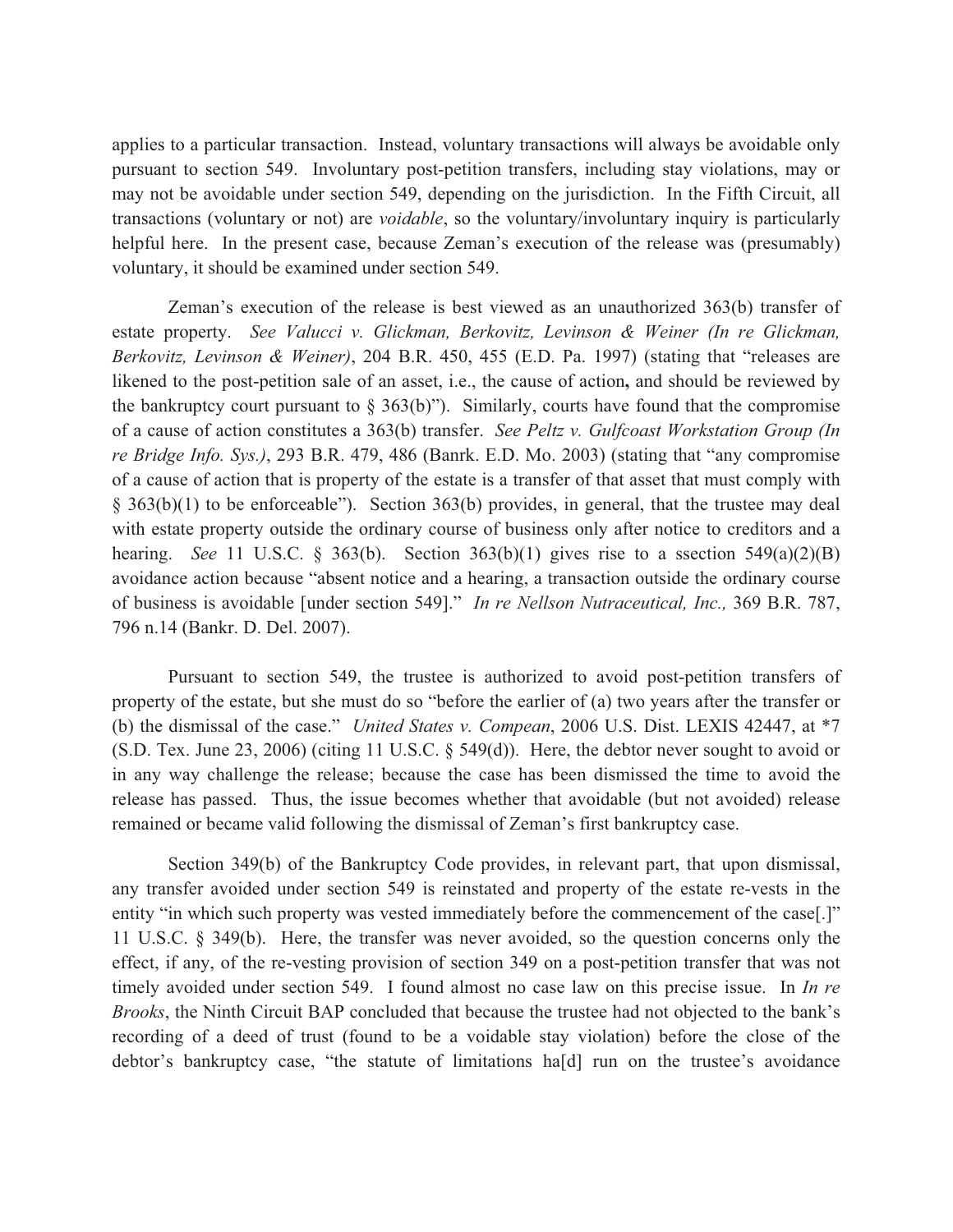applies to a particular transaction. Instead, voluntary transactions will always be avoidable only pursuant to section 549. Involuntary post-petition transfers, including stay violations, may or may not be avoidable under section 549, depending on the jurisdiction. In the Fifth Circuit, all transactions (voluntary or not) are *voidable*, so the voluntary/involuntary inquiry is particularly helpful here. In the present case, because Zeman's execution of the release was (presumably) voluntary, it should be examined under section 549.

Zeman's execution of the release is best viewed as an unauthorized 363(b) transfer of estate property. *See Valucci v. Glickman, Berkovitz, Levinson & Weiner (In re Glickman, Berkovitz, Levinson & Weiner)*, 204 B.R. 450, 455 (E.D. Pa. 1997) (stating that "releases are likened to the post-petition sale of an asset, i.e., the cause of action**,** and should be reviewed by the bankruptcy court pursuant to  $\S 363(b)$ "). Similarly, courts have found that the compromise of a cause of action constitutes a 363(b) transfer. *See Peltz v. Gulfcoast Workstation Group (In re Bridge Info. Sys.)*, 293 B.R. 479, 486 (Banrk. E.D. Mo. 2003) (stating that "any compromise of a cause of action that is property of the estate is a transfer of that asset that must comply with § 363(b)(1) to be enforceable"). Section 363(b) provides, in general, that the trustee may deal with estate property outside the ordinary course of business only after notice to creditors and a hearing. *See* 11 U.S.C. § 363(b). Section 363(b)(1) gives rise to a ssection 549(a)(2)(B) avoidance action because "absent notice and a hearing, a transaction outside the ordinary course of business is avoidable [under section 549]." *In re Nellson Nutraceutical, Inc.,* 369 B.R. 787, 796 n.14 (Bankr. D. Del. 2007).

Pursuant to section 549, the trustee is authorized to avoid post-petition transfers of property of the estate, but she must do so "before the earlier of (a) two years after the transfer or (b) the dismissal of the case." *United States v. Compean*, 2006 U.S. Dist. LEXIS 42447, at \*7 (S.D. Tex. June 23, 2006) (citing 11 U.S.C. § 549(d)). Here, the debtor never sought to avoid or in any way challenge the release; because the case has been dismissed the time to avoid the release has passed. Thus, the issue becomes whether that avoidable (but not avoided) release remained or became valid following the dismissal of Zeman's first bankruptcy case.

Section 349(b) of the Bankruptcy Code provides, in relevant part, that upon dismissal, any transfer avoided under section 549 is reinstated and property of the estate re-vests in the entity "in which such property was vested immediately before the commencement of the case[.]" 11 U.S.C. § 349(b). Here, the transfer was never avoided, so the question concerns only the effect, if any, of the re-vesting provision of section 349 on a post-petition transfer that was not timely avoided under section 549. I found almost no case law on this precise issue. In *In re Brooks*, the Ninth Circuit BAP concluded that because the trustee had not objected to the bank's recording of a deed of trust (found to be a voidable stay violation) before the close of the debtor's bankruptcy case, "the statute of limitations ha[d] run on the trustee's avoidance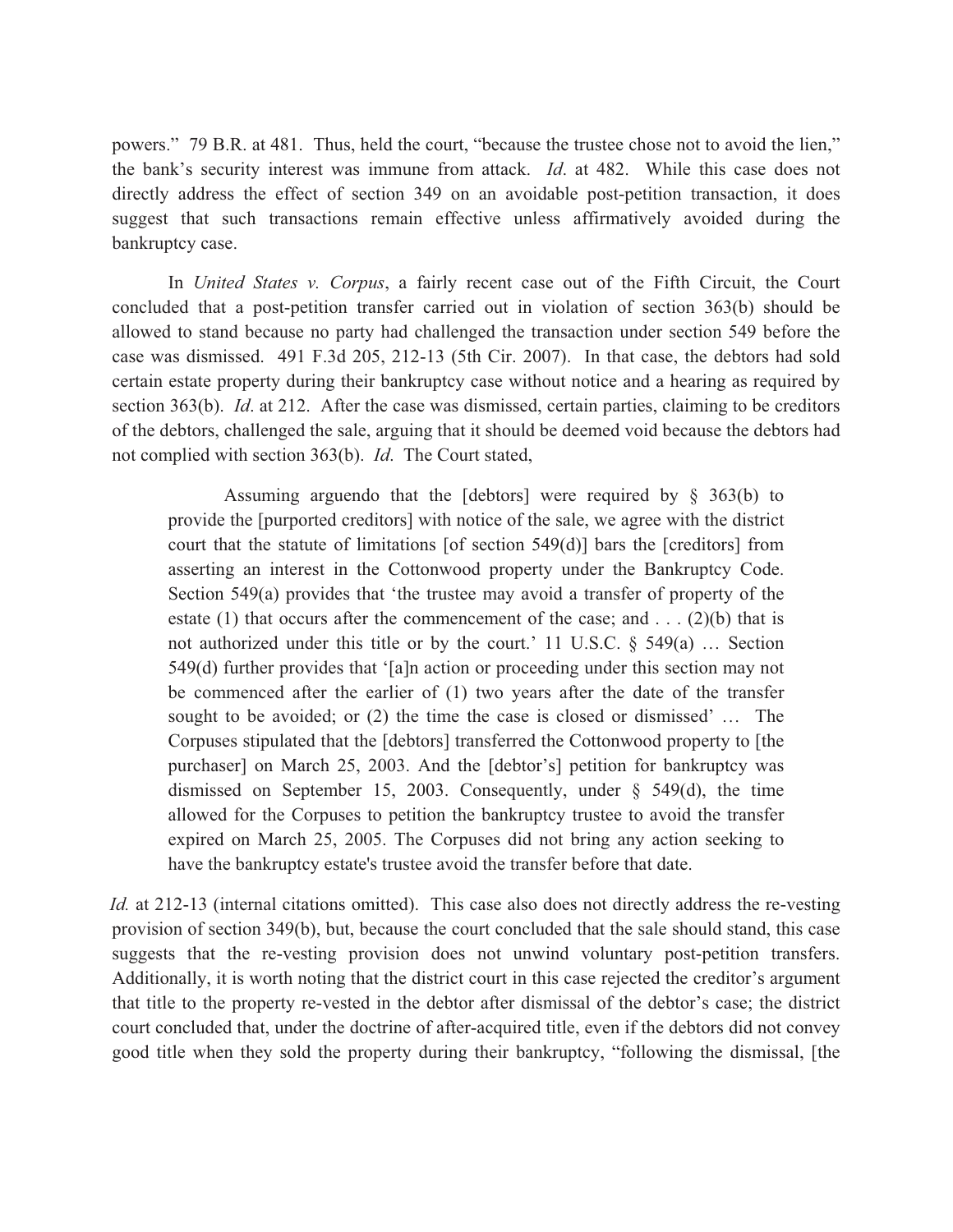powers." 79 B.R. at 481. Thus, held the court, "because the trustee chose not to avoid the lien," the bank's security interest was immune from attack. *Id*. at 482. While this case does not directly address the effect of section 349 on an avoidable post-petition transaction, it does suggest that such transactions remain effective unless affirmatively avoided during the bankruptcy case.

In *United States v. Corpus*, a fairly recent case out of the Fifth Circuit, the Court concluded that a post-petition transfer carried out in violation of section 363(b) should be allowed to stand because no party had challenged the transaction under section 549 before the case was dismissed. 491 F.3d 205, 212-13 (5th Cir. 2007). In that case, the debtors had sold certain estate property during their bankruptcy case without notice and a hearing as required by section 363(b). *Id*. at 212. After the case was dismissed, certain parties, claiming to be creditors of the debtors, challenged the sale, arguing that it should be deemed void because the debtors had not complied with section 363(b). *Id*. The Court stated,

 Assuming arguendo that the [debtors] were required by § 363(b) to provide the [purported creditors] with notice of the sale, we agree with the district court that the statute of limitations [of section 549(d)] bars the [creditors] from asserting an interest in the Cottonwood property under the Bankruptcy Code. Section 549(a) provides that 'the trustee may avoid a transfer of property of the estate (1) that occurs after the commencement of the case; and  $\dots$  (2)(b) that is not authorized under this title or by the court.' 11 U.S.C.  $\S$  549(a) ... Section 549(d) further provides that '[a]n action or proceeding under this section may not be commenced after the earlier of (1) two years after the date of the transfer sought to be avoided; or (2) the time the case is closed or dismissed' … The Corpuses stipulated that the [debtors] transferred the Cottonwood property to [the purchaser] on March 25, 2003. And the [debtor's] petition for bankruptcy was dismissed on September 15, 2003. Consequently, under  $\S$  549(d), the time allowed for the Corpuses to petition the bankruptcy trustee to avoid the transfer expired on March 25, 2005. The Corpuses did not bring any action seeking to have the bankruptcy estate's trustee avoid the transfer before that date.

*Id.* at 212-13 (internal citations omitted). This case also does not directly address the re-vesting provision of section 349(b), but, because the court concluded that the sale should stand, this case suggests that the re-vesting provision does not unwind voluntary post-petition transfers. Additionally, it is worth noting that the district court in this case rejected the creditor's argument that title to the property re-vested in the debtor after dismissal of the debtor's case; the district court concluded that, under the doctrine of after-acquired title, even if the debtors did not convey good title when they sold the property during their bankruptcy, "following the dismissal, [the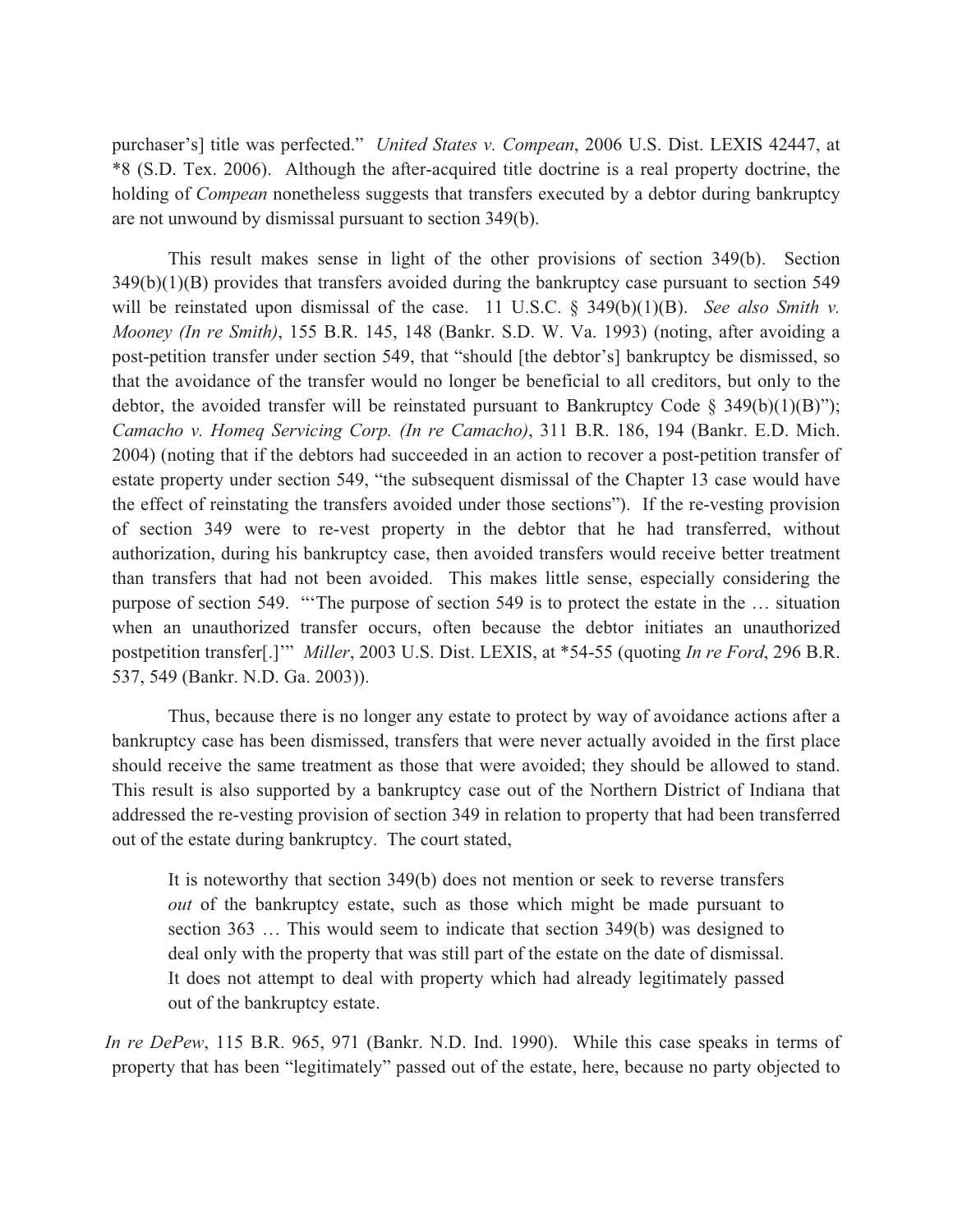purchaser's] title was perfected." *United States v. Compean*, 2006 U.S. Dist. LEXIS 42447, at \*8 (S.D. Tex. 2006). Although the after-acquired title doctrine is a real property doctrine, the holding of *Compean* nonetheless suggests that transfers executed by a debtor during bankruptcy are not unwound by dismissal pursuant to section 349(b).

 This result makes sense in light of the other provisions of section 349(b). Section 349(b)(1)(B) provides that transfers avoided during the bankruptcy case pursuant to section 549 will be reinstated upon dismissal of the case. 11 U.S.C. § 349(b)(1)(B). *See also Smith v. Mooney (In re Smith)*, 155 B.R. 145, 148 (Bankr. S.D. W. Va. 1993) (noting, after avoiding a post-petition transfer under section 549, that "should [the debtor's] bankruptcy be dismissed, so that the avoidance of the transfer would no longer be beneficial to all creditors, but only to the debtor, the avoided transfer will be reinstated pursuant to Bankruptcy Code § 349(b)(1)(B)"); *Camacho v. Homeq Servicing Corp. (In re Camacho)*, 311 B.R. 186, 194 (Bankr. E.D. Mich. 2004) (noting that if the debtors had succeeded in an action to recover a post-petition transfer of estate property under section 549, "the subsequent dismissal of the Chapter 13 case would have the effect of reinstating the transfers avoided under those sections"). If the re-vesting provision of section 349 were to re-vest property in the debtor that he had transferred, without authorization, during his bankruptcy case, then avoided transfers would receive better treatment than transfers that had not been avoided. This makes little sense, especially considering the purpose of section 549. "'The purpose of section 549 is to protect the estate in the … situation when an unauthorized transfer occurs, often because the debtor initiates an unauthorized postpetition transfer[.]'" *Miller*, 2003 U.S. Dist. LEXIS, at \*54-55 (quoting *In re Ford*, 296 B.R. 537, 549 (Bankr. N.D. Ga. 2003)).

 Thus, because there is no longer any estate to protect by way of avoidance actions after a bankruptcy case has been dismissed, transfers that were never actually avoided in the first place should receive the same treatment as those that were avoided; they should be allowed to stand. This result is also supported by a bankruptcy case out of the Northern District of Indiana that addressed the re-vesting provision of section 349 in relation to property that had been transferred out of the estate during bankruptcy. The court stated,

It is noteworthy that section 349(b) does not mention or seek to reverse transfers *out* of the bankruptcy estate, such as those which might be made pursuant to section 363 … This would seem to indicate that section 349(b) was designed to deal only with the property that was still part of the estate on the date of dismissal. It does not attempt to deal with property which had already legitimately passed out of the bankruptcy estate.

*In re DePew*, 115 B.R. 965, 971 (Bankr. N.D. Ind. 1990). While this case speaks in terms of property that has been "legitimately" passed out of the estate, here, because no party objected to